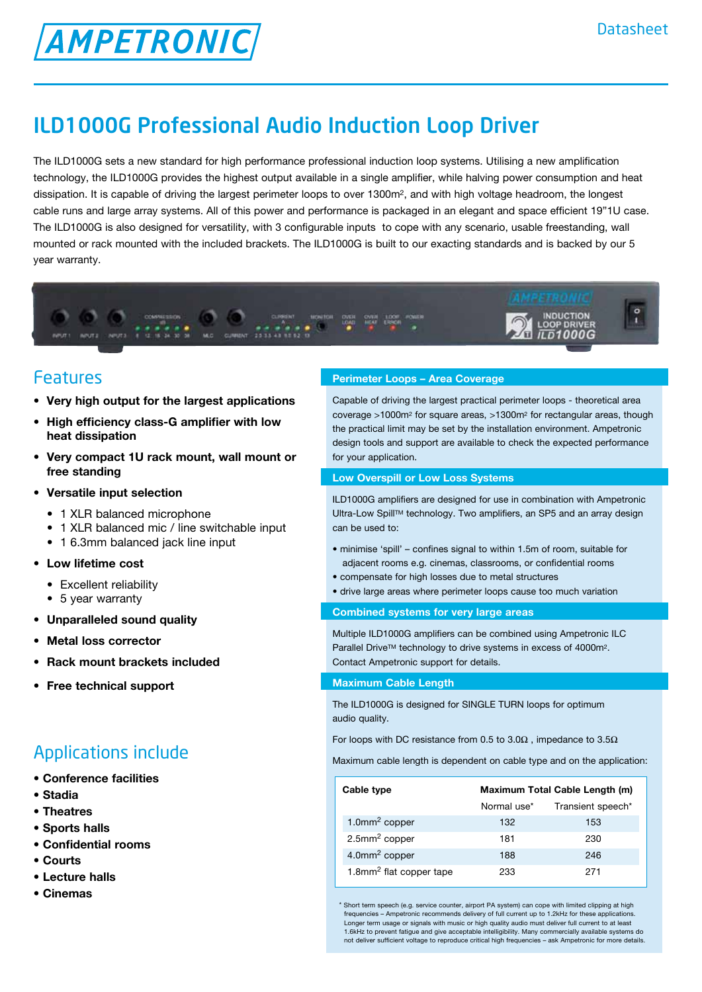# **AMPETRONIC**

# ILD1000G Professional Audio Induction Loop Driver

The ILD1000G sets a new standard for high performance professional induction loop systems. Utilising a new amplification technology, the ILD1000G provides the highest output available in a single amplifier, while halving power consumption and heat dissipation. It is capable of driving the largest perimeter loops to over 1300m2, and with high voltage headroom, the longest cable runs and large array systems. All of this power and performance is packaged in an elegant and space efficient 19"1U case. The ILD1000G is also designed for versatility, with 3 configurable inputs to cope with any scenario, usable freestanding, wall mounted or rack mounted with the included brackets. The ILD1000G is built to our exacting standards and is backed by our 5 year warranty.



### Features

- **• Very high output for the largest applications**
- **• High efficiency class-G amplifier with low heat dissipation**
- **• Very compact 1U rack mount, wall mount or free standing**
- **• Versatile input selection**
	- 1 XLR balanced microphone
	- 1 XLR balanced mic / line switchable input
	- 1 6.3mm balanced jack line input
- **• Low lifetime cost**
	- Excellent reliability
	- 5 year warranty
- **• Unparalleled sound quality**
- **• Metal loss corrector**
- **• Rack mount brackets included**
- **• Free technical support**

### Applications include

- **• Conference facilities**
- **• Stadia**
- **• Theatres**
- **• Sports halls**
- **• Confidential rooms**
- **• Courts**
- **• Lecture halls**
- **• Cinemas**

#### **Perimeter Loops – Area Coverage**

Capable of driving the largest practical perimeter loops - theoretical area coverage >1000m2 for square areas, >1300m2 for rectangular areas, though the practical limit may be set by the installation environment. Ampetronic design tools and support are available to check the expected performance for your application.

#### **Low Overspill or Low Loss Systems**

ILD1000G amplifiers are designed for use in combination with Ampetronic Ultra-Low Spill™ technology. Two amplifiers, an SP5 and an array design can be used to:

- minimise 'spill' confines signal to within 1.5m of room, suitable for adjacent rooms e.g. cinemas, classrooms, or confidential rooms
- compensate for high losses due to metal structures
- drive large areas where perimeter loops cause too much variation

#### **Combined systems for very large areas**

Multiple ILD1000G amplifiers can be combined using Ampetronic ILC Parallel Drive™ technology to drive systems in excess of 4000m<sup>2</sup>. Contact Ampetronic support for details.

#### **Maximum Cable Length**

The ILD1000G is designed for SINGLE TURN loops for optimum audio quality.

For loops with DC resistance from 0.5 to 3.0 $\Omega$ , impedance to 3.5 $\Omega$ 

Maximum cable length is dependent on cable type and on the application:

| Cable type                          | Maximum Total Cable Length (m) |                   |  |
|-------------------------------------|--------------------------------|-------------------|--|
|                                     | Normal use*                    | Transient speech* |  |
| 1.0 $mm2 copper$                    | 132                            | 153               |  |
| $2.5$ mm <sup>2</sup> copper        | 181                            | 230               |  |
| 4.0mm <sup>2</sup> copper           | 188                            | 246               |  |
| 1.8mm <sup>2</sup> flat copper tape | 233                            | 271               |  |

\* Short term speech (e.g. service counter, airport PA system) can cope with limited clipping at high frequencies – Ampetronic recommends delivery of full current up to 1.2kHz for these applications. Longer term usage or signals with music or high quality audio must deliver full current to at least 1.6kHz to prevent fatigue and give acceptable intelligibility. Many commercially available systems do not deliver sufficient voltage to reproduce critical high frequencies – ask Ampetronic for more details.